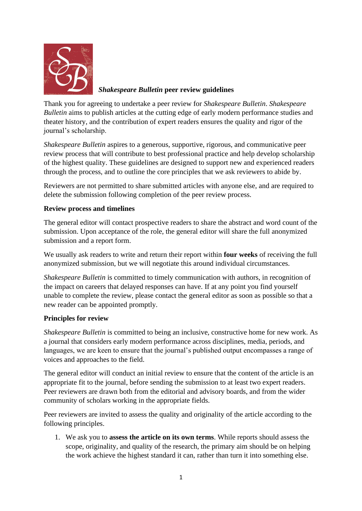

# *Shakespeare Bulletin* **peer review guidelines**

Thank you for agreeing to undertake a peer review for *Shakespeare Bulletin*. *Shakespeare Bulletin* aims to publish articles at the cutting edge of early modern performance studies and theater history, and the contribution of expert readers ensures the quality and rigor of the journal's scholarship.

*Shakespeare Bulletin* aspires to a generous, supportive, rigorous, and communicative peer review process that will contribute to best professional practice and help develop scholarship of the highest quality. These guidelines are designed to support new and experienced readers through the process, and to outline the core principles that we ask reviewers to abide by.

Reviewers are not permitted to share submitted articles with anyone else, and are required to delete the submission following completion of the peer review process.

## **Review process and timelines**

The general editor will contact prospective readers to share the abstract and word count of the submission. Upon acceptance of the role, the general editor will share the full anonymized submission and a report form.

We usually ask readers to write and return their report within **four weeks** of receiving the full anonymized submission, but we will negotiate this around individual circumstances.

*Shakespeare Bulletin* is committed to timely communication with authors, in recognition of the impact on careers that delayed responses can have. If at any point you find yourself unable to complete the review, please contact the general editor as soon as possible so that a new reader can be appointed promptly.

## **Principles for review**

*Shakespeare Bulletin* is committed to being an inclusive, constructive home for new work. As a journal that considers early modern performance across disciplines, media, periods, and languages, we are keen to ensure that the journal's published output encompasses a range of voices and approaches to the field.

The general editor will conduct an initial review to ensure that the content of the article is an appropriate fit to the journal, before sending the submission to at least two expert readers. Peer reviewers are drawn both from the editorial and advisory boards, and from the wider community of scholars working in the appropriate fields.

Peer reviewers are invited to assess the quality and originality of the article according to the following principles.

1. We ask you to **assess the article on its own terms**. While reports should assess the scope, originality, and quality of the research, the primary aim should be on helping the work achieve the highest standard it can, rather than turn it into something else.